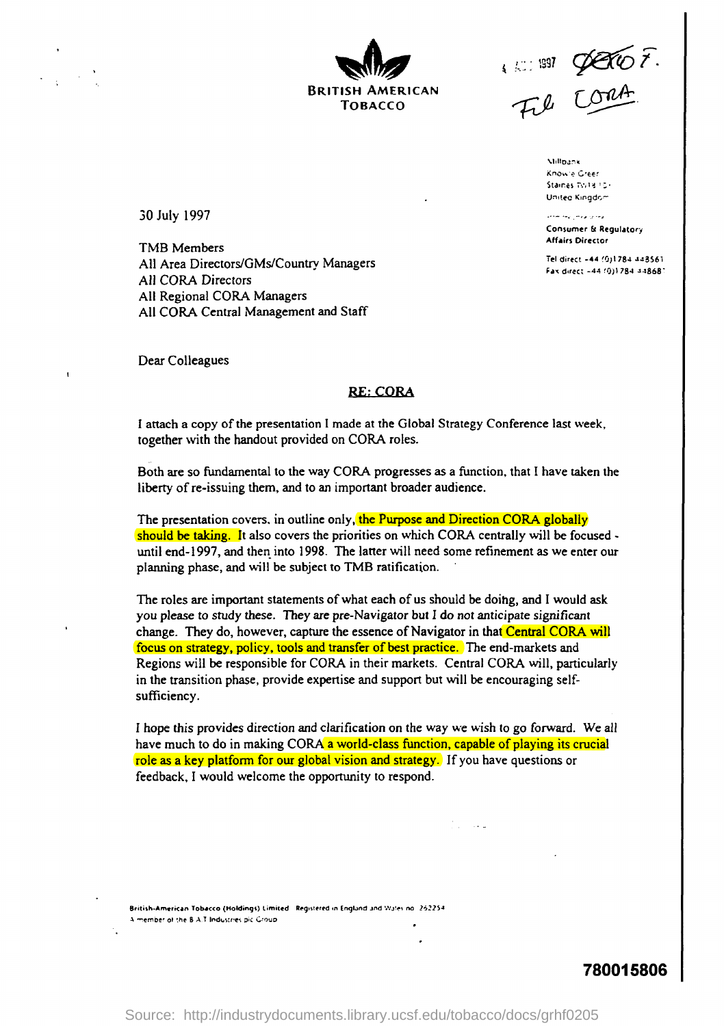BRITISH AMERICAN TOBACCO

i .':: : 1891

**Millbank** Know'e Gr<mark>e</mark>er Staines Twite For United Kingdom

أوعاد ودالو والتداريس السحف Consumer & Regulatory **Affairs Director** 

Tel direct -44 (0)1784 448561 Fax direct -44 (0)1784 448687

30 July 1997

TMB Members All Area Directors/GMs/Country Managers All CORA Directors All Regional CORA Managers All CORA Central Management and Staff

Dear Colleagues

### **RE: CORA**

I attach a copy of the presentation I made at the Global Strategy Conference last week, together with the handout provided on CORA roles.

Both are so fundamental to the way CORA progresses as a function, that I have taken the liberty of re-issuing them, and to an important broader audience .

The presentation covers, in outline only, the Purpose and Direction CORA globally should be taking. It also covers the priorities on which CORA centrally will be focused until end-1997, and then into 1998 . The latter will need some refinement as we enter our planning phase, and will be subject to TMB ratification.

The roles are important statements of what each of us should be doing, and I would ask you please to study these. They are pre-Navigator but I do not anticipate significant change. They do, however, capture the essence of Navigator in that Central CORA will focus on strategy, policy, tools and transfer of best practice . The end-markets and Regions will be responsible for CORA in their markets. Central CORA will, particularly in the transition phase, provide expertise and support but will be encouraging selfsufficiency.

I hope this provides direction and clarification on the way we wish to go forward . We all have much to do in making CORA a world-class function, capable of playing its crucial role as a key platform for our global vision and strategy. If you have questions or feedback, I would welcome the opportunity to respond.

British-American Tobacco (Moldings) Limited Registered in Englund and Wales no 262254 A member of the B AT Industries pic Group

780015806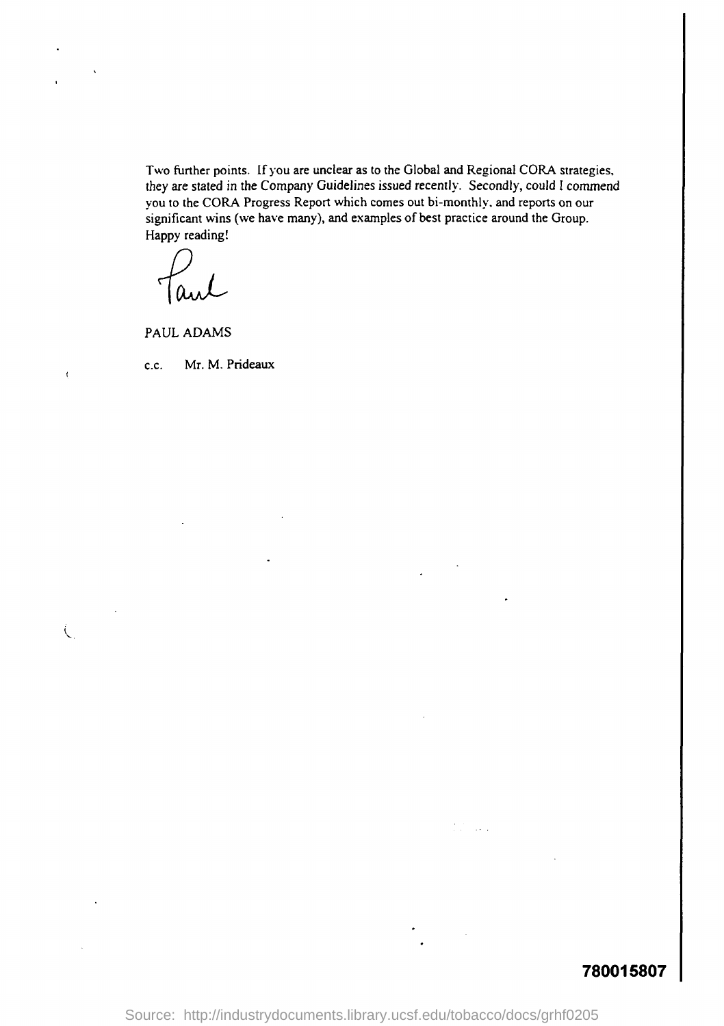Two further points. If you are unclear as to the Global and Regional CORA strategies, they are stated in the Company Guidelines issued recently. Secondly, could I commend you to the CORA Progress Report which comes out bi-monthly, and reports on our significant wins (we have many), and examples of best practice around the Group. Happy reading!

PAUL ADAMS

 $\mathbf{r}$ 

 $\zeta$ 

c.c. Mr. M. Prideaux

# 780015807

Source: http://industrydocuments.library.ucsf.edu/tobacco/docs/grhf0205

 $\sim$  .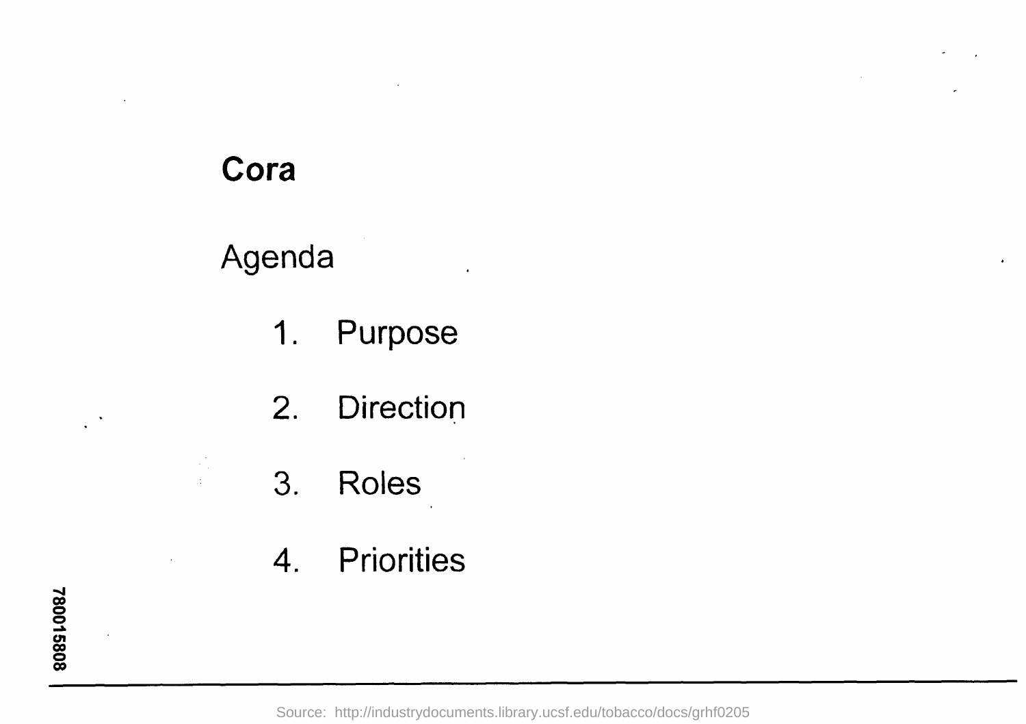# Cora

 $\mathbb{Z}_2^{\mathbb{Z}_2}$  $\frac{1}{2}$ 

# Agenda

- 1. Purpose
- 2. Direction
- 3. Roles
- 4. Priorities

Source: http://industrydocuments.library.ucsf.edu/tobacco/docs/grhf0205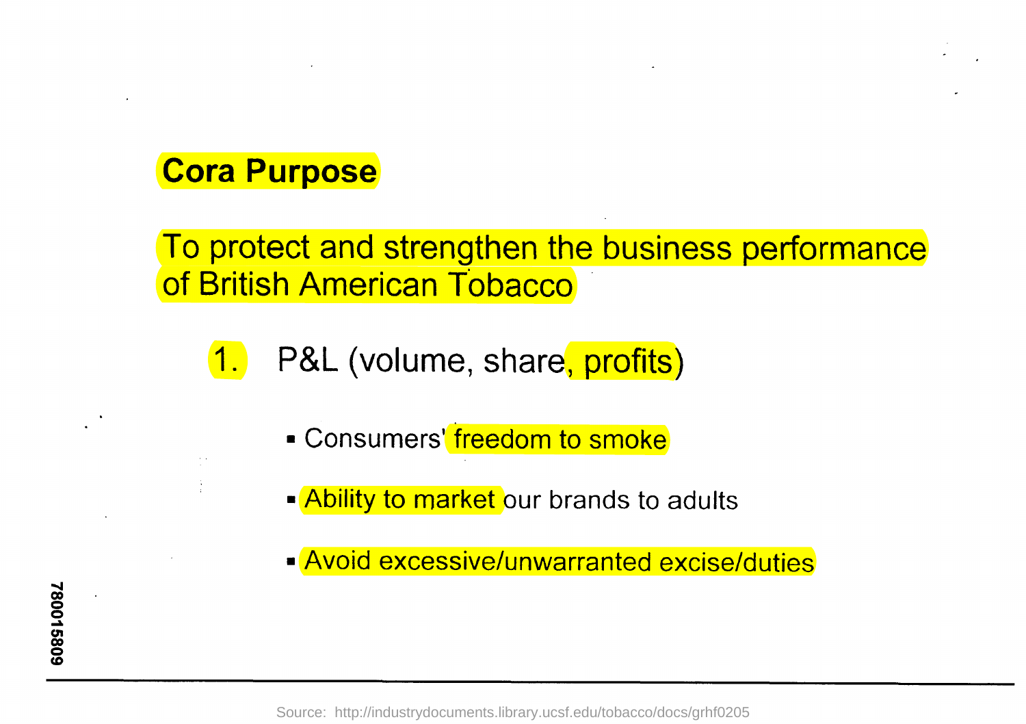# Cora Purpose

To protect and strengthen the business performance of British American Tobacco

1. P&L (volume, share, profits)

- Consumers' freedom to smoke
- Ability to market our brands to adults
- Avoid excessive/unwarranted excise/duties

Source: http://industrydocuments.library.ucsf.edu/tobacco/docs/grhf0205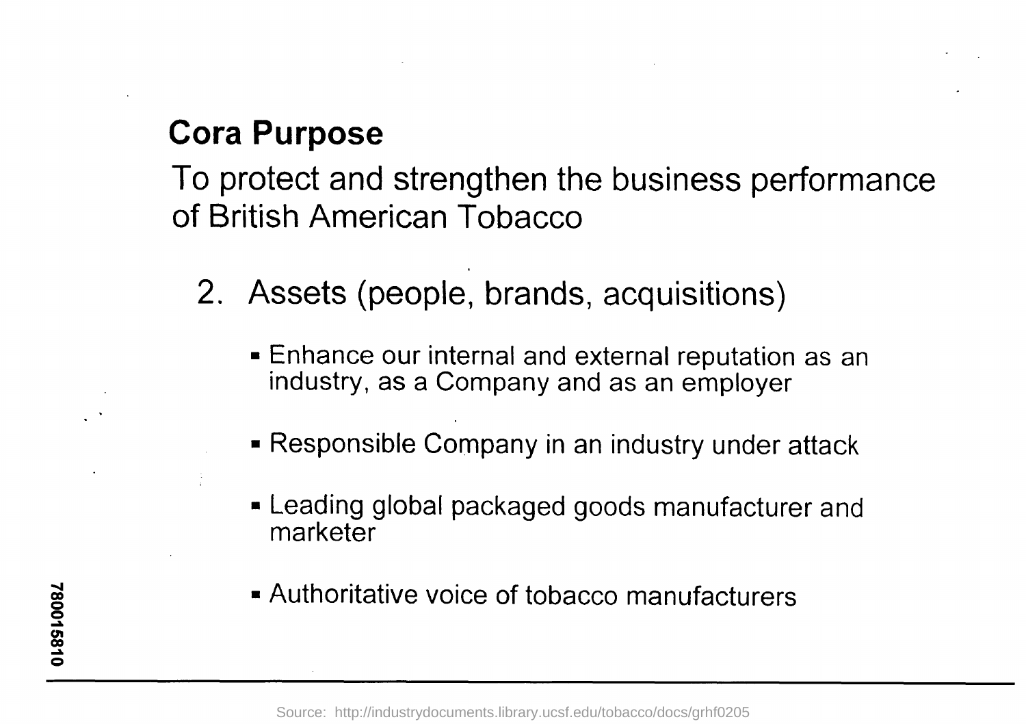# **Cora Purpose**

To protect and strengthen the business performance of British American Tobacco

- 2. Assets (people, brands, acquisitions)
	- Enhance our internal and external reputation as an industry, as a Company and as an employer
	- Responsible Company in an industry under attack
	- Leading global packaged goods manufacturer and marketer
	- Authoritative voice of tobacco manufacturers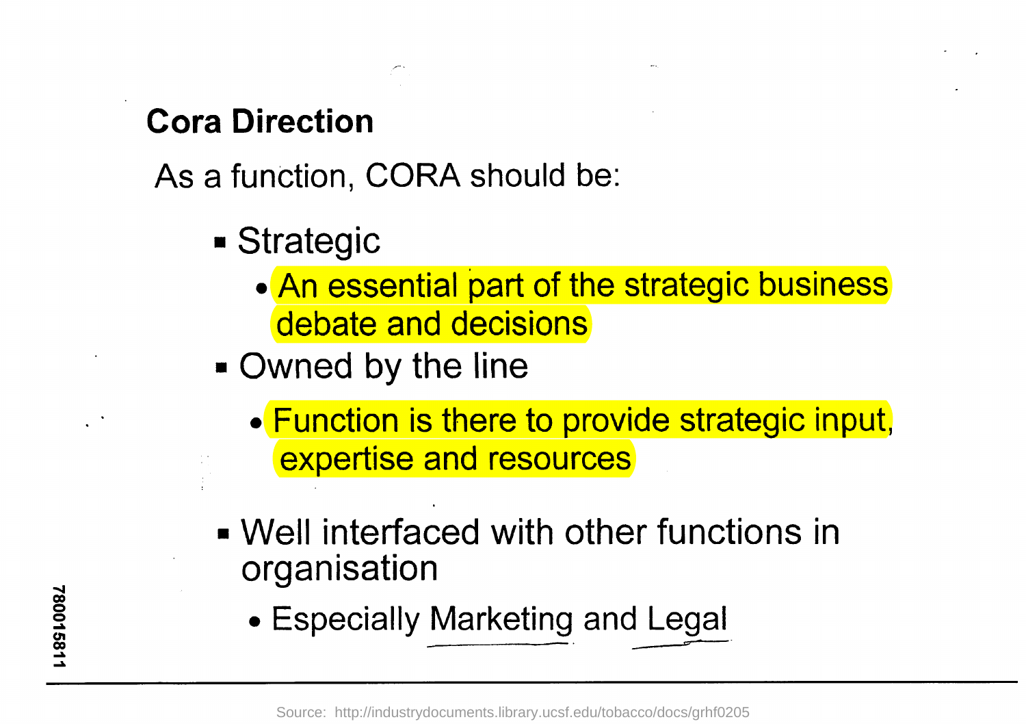# **Cora Direction**

As a function, CORA should be:

- Strategic
	- An essential part of the strategic business debate and decisions
- Owned by the line
	- Function is there to provide strategic input, expertise and resources
- Well interfaced with other functions in organisation
	- Especially Marketing and Legal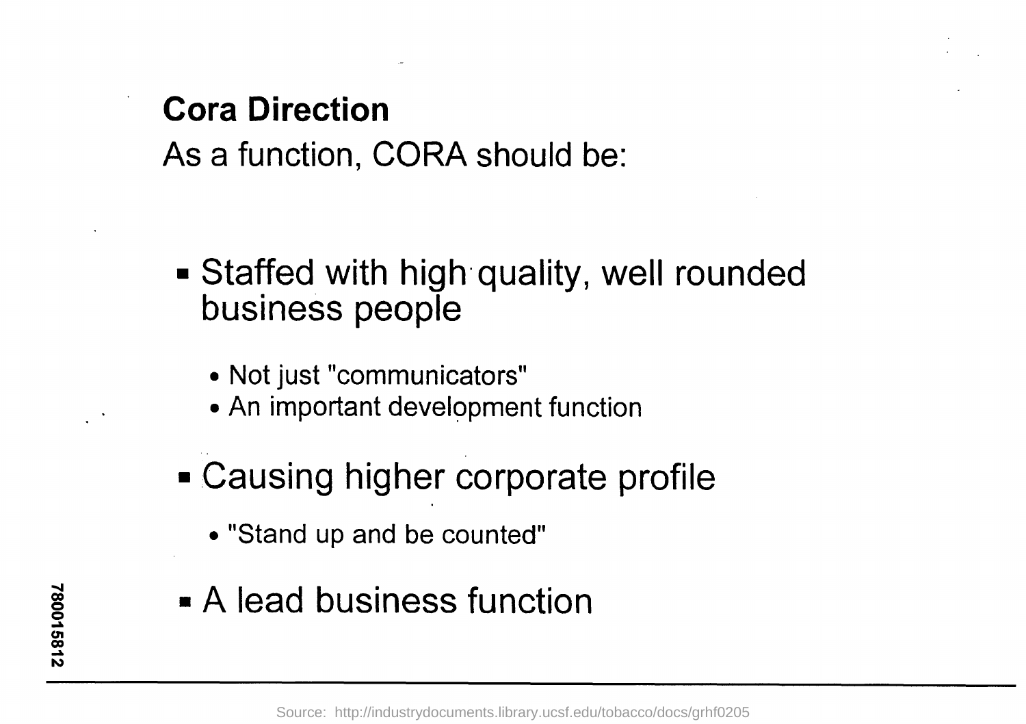# Cora Direction

As a function, CORA should be:

- Staffed with high quality, well rounded business people
	- Not just "communicators"
	- An important development function
- Causing higher corporate profile
	- "Stand up and be counted"
- A lead business function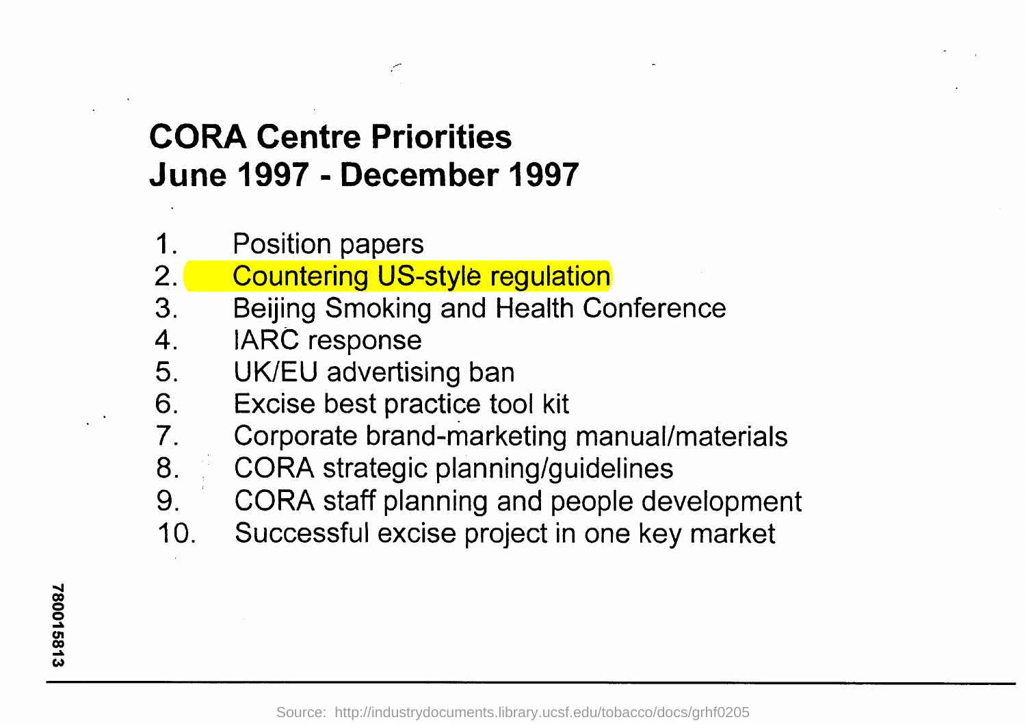# CORA Centre Priorities June 1997 - December 1997

- 1. Position papers<br>2. Countering US-
- **Countering US-style regulation**
- 3. Beijing Smoking and Health Conference
- 4. IARC response
- 5. UK/EU advertising ban
- 6. Excise best practice tool kit<br>7. Corporate brand-marketing
- 7 . Corporate brand-marketing manual/materials
- 8. CORA strategic planning/guidelines
- 9. CORA staff planning and people development
- 10. Successful excise project in one key market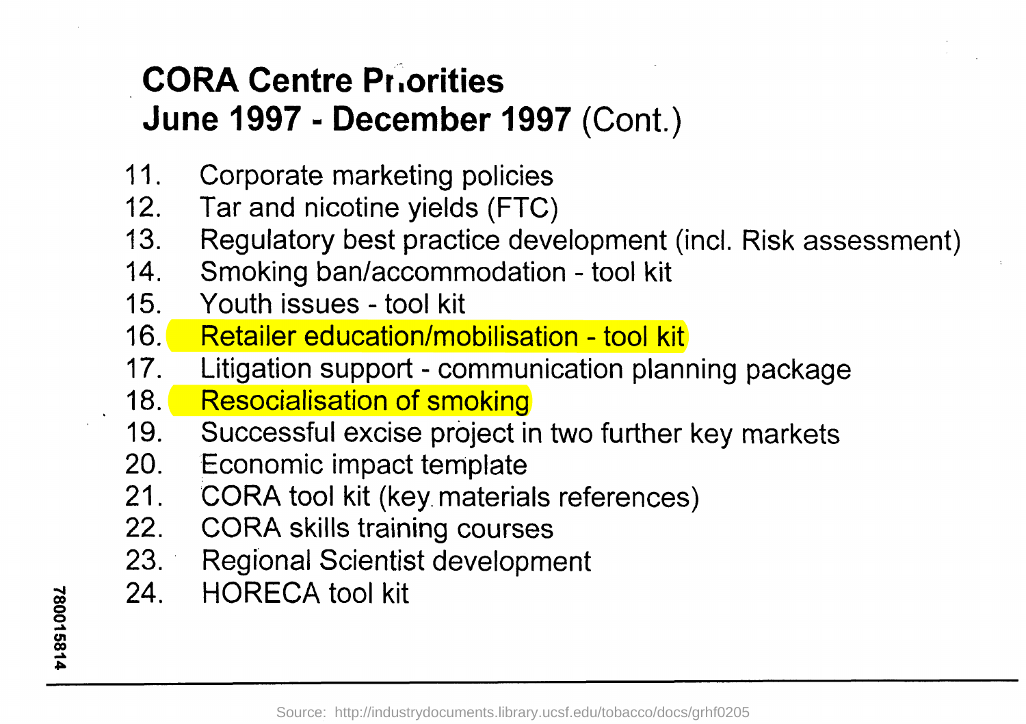# CORA Centre Priorities June 1997 -December 1997 (Cont.)

- 11. Corporate marketing policies
- 12. Tar and nicotine yields (FTC)
- 13. Regulatory best practice development (incl. Risk assessment)
- 14. Smoking ban/accommodation tool kit
- 15. Youth issues tool kit
- 16. Retailer education/mobilisation tool kit
- 17. Litigation support communication planning package
- 18. Resocialisation of smoking
- 19. Successful excise project in two further key markets
- 20. Economic impact template
- 21. CORA tool kit (key materials references)
- 22. CORA skills training courses
- 23. Regional Scientist development
- 24. HORECA tool kit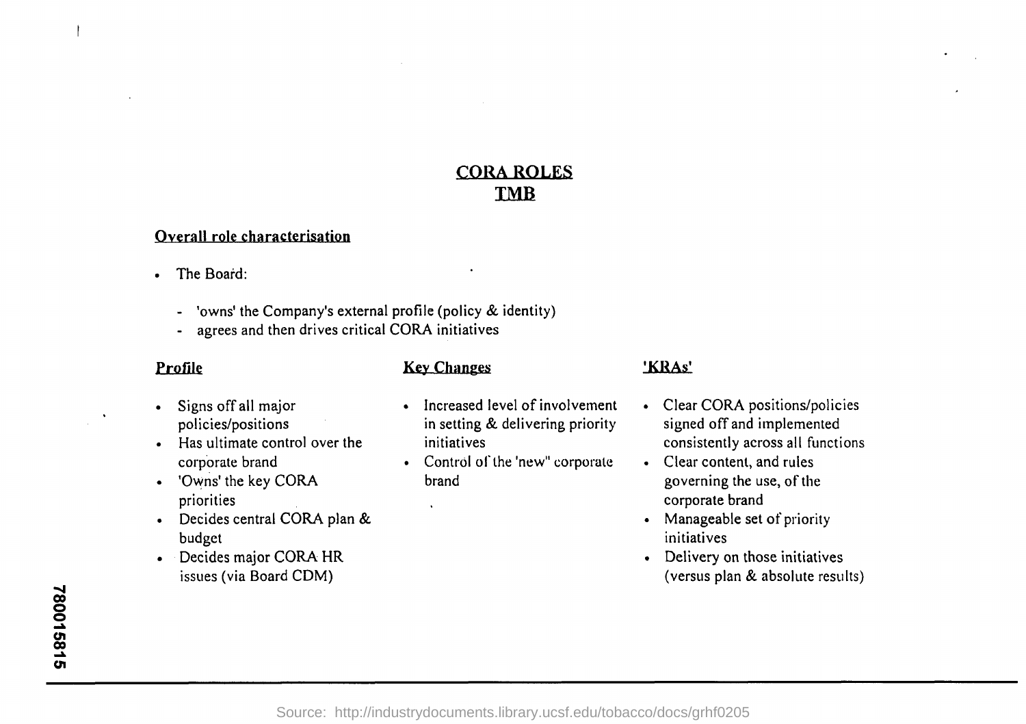# CORA ROLES IMB

# Overall role characterisation

- The Board:
	- 'owns' the Company's external profile (policy & identity)
	- agrees and then drives critical CORA initiatives

# Profile

- Signs off all major policies/positions
- $\bullet$  Has ultimate control over the corporate brand
- 'Owns' the key CORA priorities
- Decides central CORA plan & budget
- Decides major CORA HR issues (via Board CDM)

# Key Changes

- Increased level of involvement in setting & delivering priority initiatives
- Control of the 'new" corporate brand

# 'KRAs'

- Clear CORA positions/policies signed off and implemented consistently across all functions
- Clear content, and rules governing the use, of the corporate brand
- Manageable set of priority initiatives
- Delivery on those initiatives (versus plan & absolute results)

i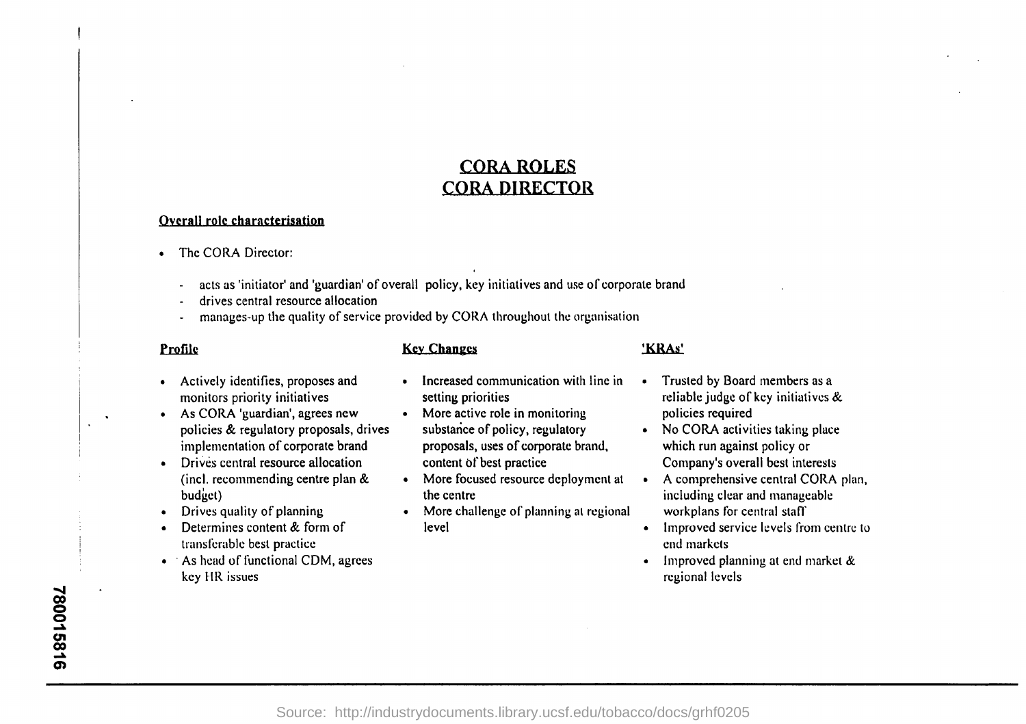# CORA ROLES CORA DIRECTOR

### Overall role characterisation

- The CORA Director:
	- acts as 'initiator' and 'guardian' of overall policy, key initiatives and use of corporate brand
	- drives central resource allocation
	- manages-up the quality of service provided by CORA throughout the organisation

## Profile Key Changes Key Changes 'KRAs'

- Actively identifies, proposes and monitors priority initiatives
- As CORA 'guardian', agrees new policies & regulatory proposals, drives implementation of corporate brand
- Drives central resource allocation (incl. recommending centre plan  $&$ budget)
- Drives quality of planning
- Determines content & form of transferable best practice
- As head of functional CDM, agrees key HR issues
- Increased communication with line in setting priorities
- More active role in monitoring substance of policy, regulatory proposals, uses of corporate brand, content of best practice
- More focused resource deployment at the centre
- More challenge of planning at regional level
- Trusted by Board members as a reliable judge of key initiatives & policies required
- No CORA activities taking place which run against policy or Company's overall best interests
- A comprehensive central CORA plan, including clear and manageable workplans for central staff
- Improved service levels from centre to end markets
- Improved planning at end market & regional levels

780015816

i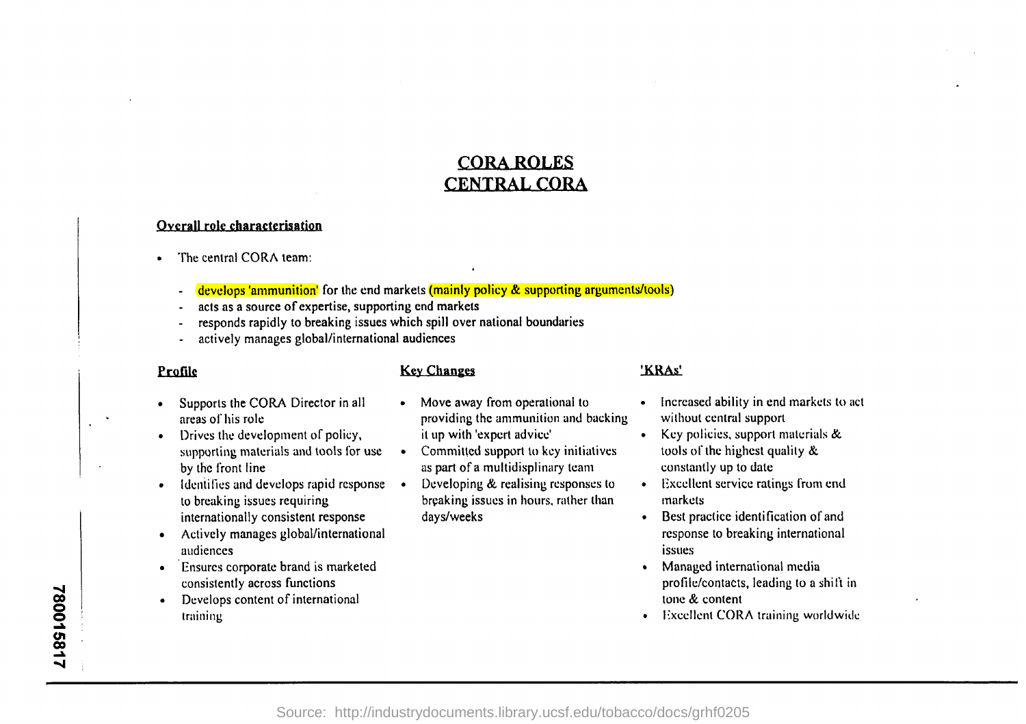# CORA ROLES CENTRAL CORA

### Overall role characterisation

- The central CORA team:
	- develops 'ammunition' for the end markets (mainly policy & supporting arguments/tools)
	- acts as a source of expertise, supporting end markets
	- responds rapidly to breaking issues which spill over national boundaries
	- actively manages global/international audiences

## Profile Key Changes 'KRAs'

- Supports the CORA Director in all areas of his role
- Drives the development of policy, supporting materials and tools for use by the front line
- Identifies and develops rapid response to breaking issues requiring internationally consistent response
- Actively manages global/international audiences
- Ensures corporate brand is marketed consistently across functions
- Develops content of international training
- Move away from operational to providing the ammunition and backing it up with 'expert advice'
- Committed support to key initiatives as part of a multidisplinary team
- Developing & realising responses to breaking issues in hours, rather than days/weeks

- Increased ability in end markets to act without central support
- Key policies, support materials & tools of the highest quality & constantly up to date
- Excellent service ratings from end markets
- Best practice identification of and response to breaking international issues
- Managed international media profile/contacts, leading to a shift in tone & content
- Excellent CORA training worldwide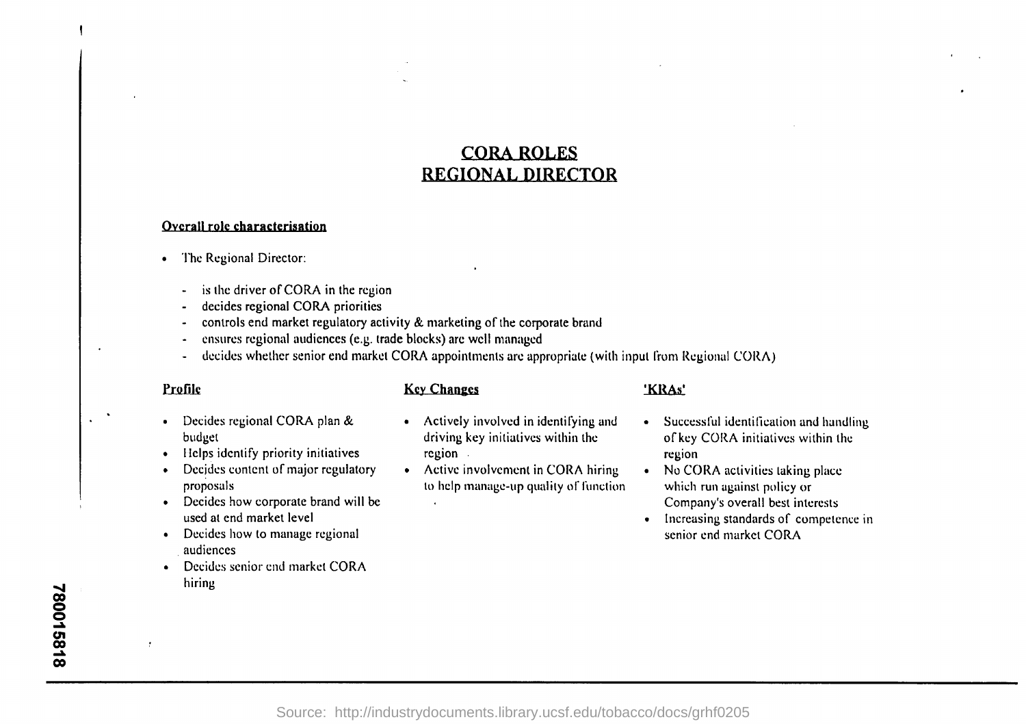# CORA ROLES REGIONAL DIRECTOR

### Overall role characterisation

- The Regional Director:
	- is the driver of CORA in the region
	- decides regional CORA priorities
	- controls end market regulatory activity & marketing of the corporate brand
	- ensures regional audiences (e.g. trade blocks) are well managed
	- decides whether senior end market CORA appointments are appropriate (with input from Regional CORA )

## Profile

 $\cdot$ 

- Decides regional CORA plan & budget
- Helps identify priority initiatives
- Decides content of major regulatory proposals
- Decides how corporate brand will be used at end market level
- Decides how to manage regional audiences
- Decides senior end market CORA hiring

## **Key Changes**

- Actively involved in identifying and driving key initiatives within the region
- Active involvement in CORA hiring to help manage-up quality of function

## 'KRAs'

- Successful identification and handling of key CORA initiatives within the region
- No CORA activities taking place which run against policy or Company's overall best interests
- Increasing standards of competence in senior end market CORA

I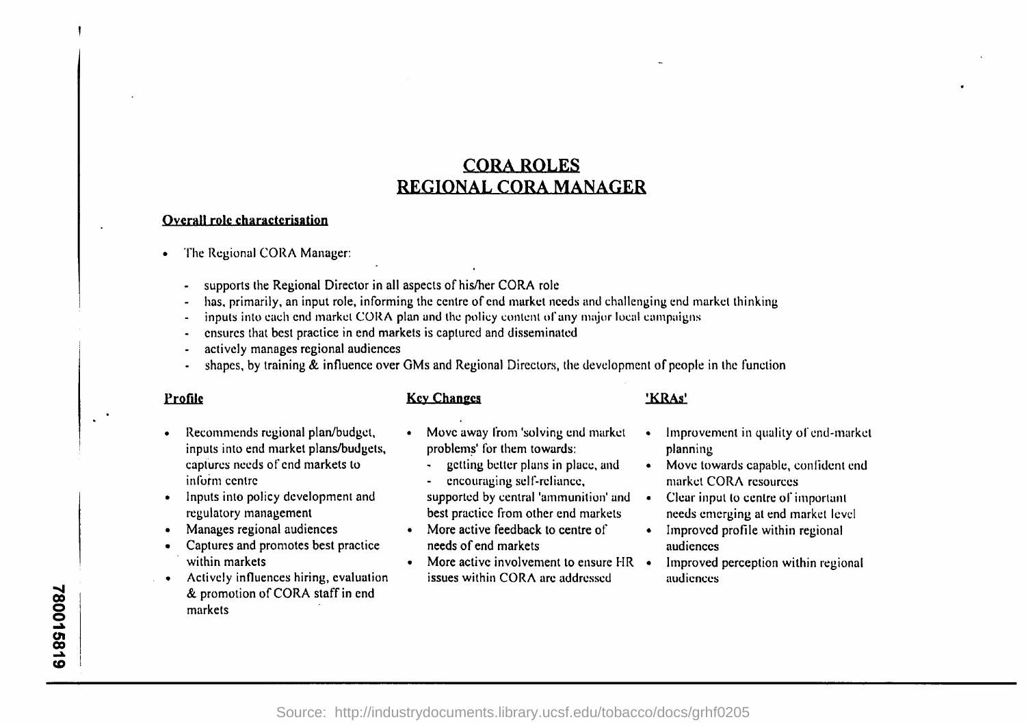# CORA ROLES REGIONAL CORA MANAGER

### Overall role characterisation

- The Regional CORA Manager:
	- supports the Regional Director in all aspects of his/her CORA role
	- has, primarily, an input role, informing the centre of end market needs and challenging end market thinking
	- inputs into each end market CORA plan and the policy content of any major local campaigns
	- ensures that best practice in end markets is captured and disseminated
	- actively manages regional audiences
	- shapes, by training  $\&$  influence over GMs and Regional Directors, the development of people in the function

### Profile

### Key Changes **'KRAs'**

- Recommends regional plan/budget, inputs into end market plans/budgets, captures needs of end markets to inform centre
- Inputs into policy development and regulatory management
- Manages regional audiences
- Captures and promotes best practice within markets
- Actively influences hiring, evaluation & promotion of CORA staff in end markets
- Move away from 'solving end market  $\cdot$ problems' for them towards:
	- getting better plans in place, and
- encouraging self-reliance, supported by central 'ammunition' and
- best practice from other end markets
- More active feedback to centre of needs of end markets
- More active involvement to ensure  $HR \rightarrow$ issues within CORA are addressed
- Improvement in quality of end-market planning
- Move towards capable, confident end market CORA resources
- $\bullet$ Clear input to centre of important needs emerging at end market level
- Improved profile within regional audiences
- Improved perception within regional audiences

I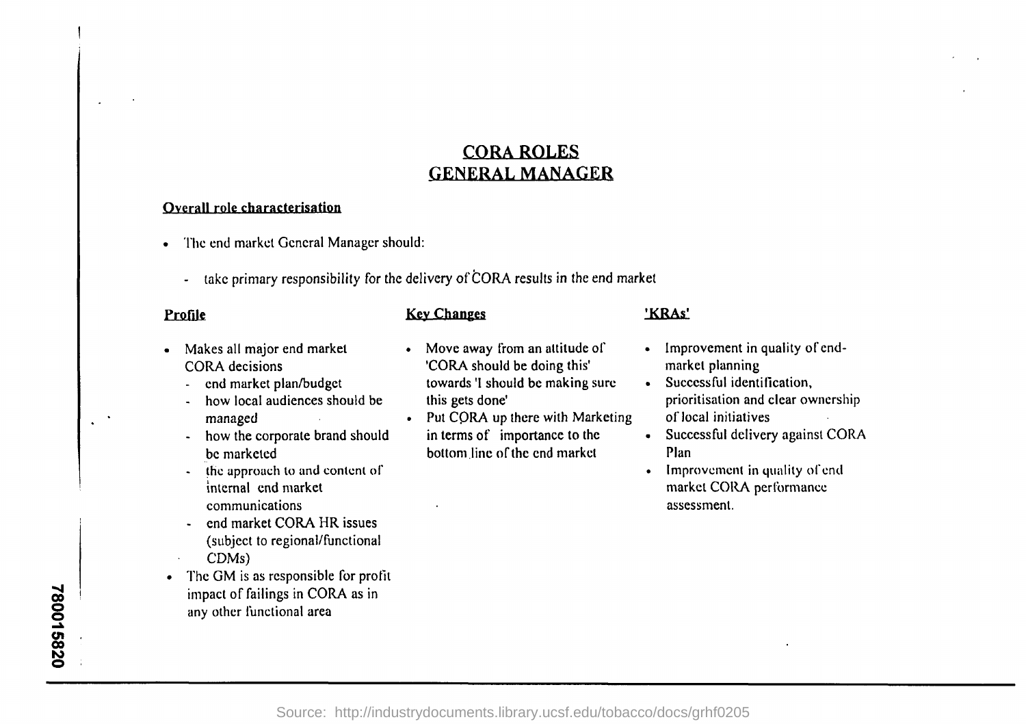# CORA ROLES GENERAL MANAGER

## Overall role characterisation

- The end market General Manager should:
	- take primary responsibility for the delivery of CORA results in the end market

- Profile Key Changes 'KRAs'
- Makes all major end market CORA decisions
	- end market plan/budget
	- how local audiences should be managed
	- how the corporate brand should be marketed
	- the approach to and content of internal end market communications
	- end market CORA HR issues (subject to regional/functional CDMs)
- The GM is as responsible for profit impact of failings in CORA as in any other functional area

- Move away from an attitude of 'CORA should be doing this' towards'l should be making sure this gets done'
- Put CORA up there with Marketing in terms of importance to the bottom line of the end market

- Improvement in quality of endmarket planning
- Successful identification, prioritisation and clear ownership of local initiatives
- Successful delivery against CORA Plan
- Improvement in quality of end market CORA performance assessment.